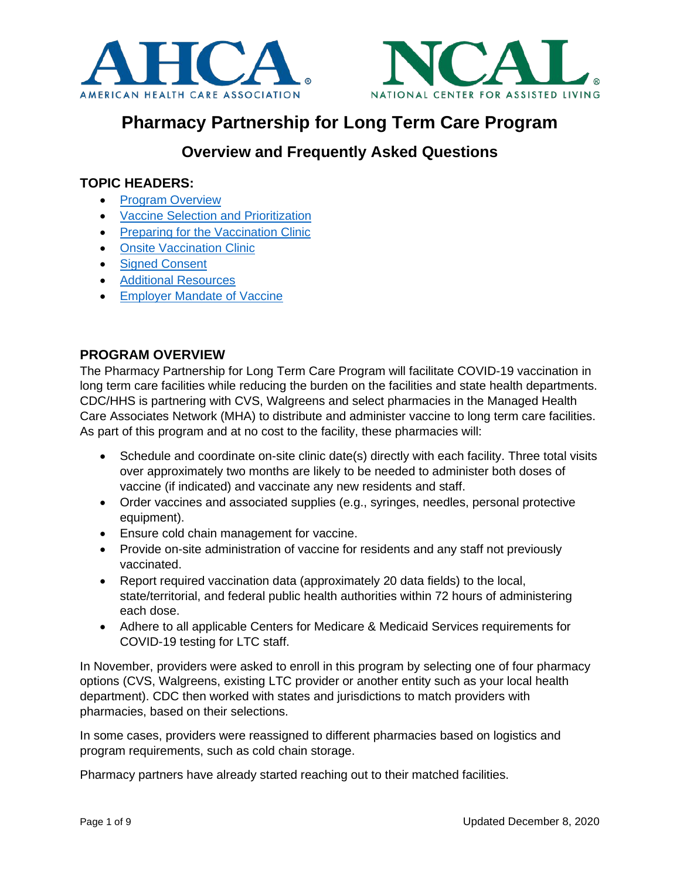



# **Pharmacy Partnership for Long Term Care Program**

## **Overview and Frequently Asked Questions**

## **TOPIC HEADERS:**

- [Program Overview](#page-0-0)
- [Vaccine Selection and Prioritization](#page-1-0)
- [Preparing for the Vaccination Clinic](#page-1-1)
- [Onsite Vaccination Clinic](#page-2-0)
- [Signed Consent](#page-3-0)
- [Additional Resources](#page-5-0)
- [Employer Mandate](#page-5-0) of Vaccine

## <span id="page-0-0"></span>**PROGRAM OVERVIEW**

The Pharmacy Partnership for Long Term Care Program will facilitate COVID-19 vaccination in long term care facilities while reducing the burden on the facilities and state health departments. CDC/HHS is partnering with CVS, Walgreens and select pharmacies in the Managed Health Care Associates Network (MHA) to distribute and administer vaccine to long term care facilities. As part of this program and at no cost to the facility, these pharmacies will:

- Schedule and coordinate on-site clinic date(s) directly with each facility. Three total visits over approximately two months are likely to be needed to administer both doses of vaccine (if indicated) and vaccinate any new residents and staff.
- Order vaccines and associated supplies (e.g., syringes, needles, personal protective equipment).
- Ensure cold chain management for vaccine.
- Provide on-site administration of vaccine for residents and any staff not previously vaccinated.
- Report required vaccination data (approximately 20 data fields) to the local, state/territorial, and federal public health authorities within 72 hours of administering each dose.
- Adhere to all applicable Centers for Medicare & Medicaid Services requirements for COVID-19 testing for LTC staff.

In November, providers were asked to enroll in this program by selecting one of four pharmacy options (CVS, Walgreens, existing LTC provider or another entity such as your local health department). CDC then worked with states and jurisdictions to match providers with pharmacies, based on their selections.

In some cases, providers were reassigned to different pharmacies based on logistics and program requirements, such as cold chain storage.

Pharmacy partners have already started reaching out to their matched facilities.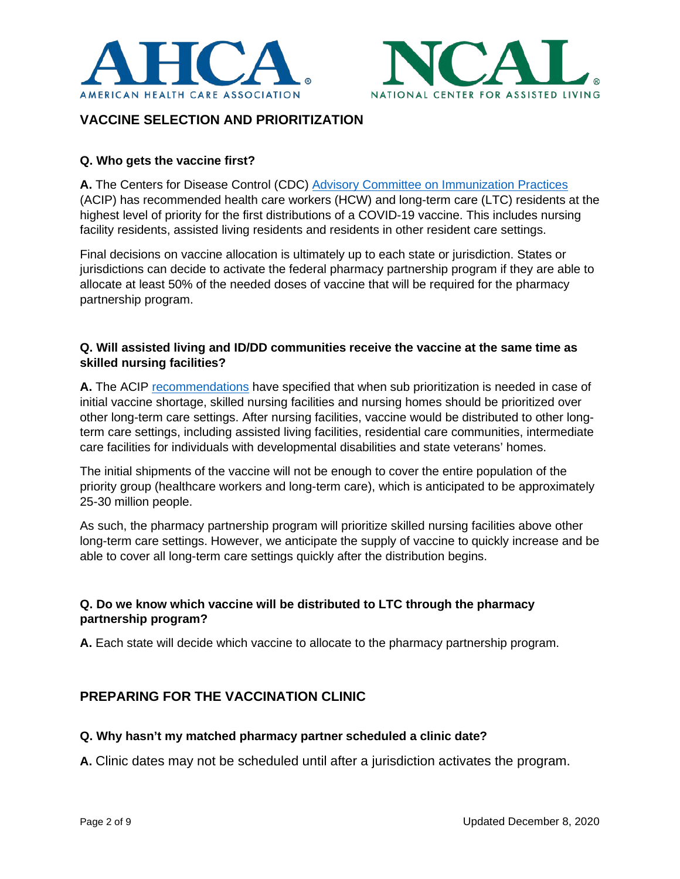



## <span id="page-1-0"></span>**VACCINE SELECTION AND PRIORITIZATION**

#### **Q. Who gets the vaccine first?**

**A.** The Centers for Disease Control (CDC) [Advisory Committee on Immunization Practices](https://cl.exct.net/?qs=b027dd6656cb35ba14a967d5db9a7a004272a64bdf752fbb62029b8b077782c76f9228b54c3a93d157ab4862bf86b01bad4c263b8c60c702) (ACIP) has recommended health care workers (HCW) and long-term care (LTC) residents at the highest level of priority for the first distributions of a COVID-19 vaccine. This includes nursing facility residents, assisted living residents and residents in other resident care settings.

Final decisions on vaccine allocation is ultimately up to each state or jurisdiction. States or jurisdictions can decide to activate the federal pharmacy partnership program if they are able to allocate at least 50% of the needed doses of vaccine that will be required for the pharmacy partnership program.

#### **Q. Will assisted living and ID/DD communities receive the vaccine at the same time as skilled nursing facilities?**

**A.** The ACIP [recommendations](https://www.cdc.gov/vaccines/acip/meetings/slides-2020-12.html) have specified that when sub prioritization is needed in case of initial vaccine shortage, skilled nursing facilities and nursing homes should be prioritized over other long-term care settings. After nursing facilities, vaccine would be distributed to other longterm care settings, including assisted living facilities, residential care communities, intermediate care facilities for individuals with developmental disabilities and state veterans' homes.

The initial shipments of the vaccine will not be enough to cover the entire population of the priority group (healthcare workers and long-term care), which is anticipated to be approximately 25-30 million people.

As such, the pharmacy partnership program will prioritize skilled nursing facilities above other long-term care settings. However, we anticipate the supply of vaccine to quickly increase and be able to cover all long-term care settings quickly after the distribution begins.

#### **Q. Do we know which vaccine will be distributed to LTC through the pharmacy partnership program?**

**A.** Each state will decide which vaccine to allocate to the pharmacy partnership program.

## <span id="page-1-1"></span>**PREPARING FOR THE VACCINATION CLINIC**

#### **Q. Why hasn't my matched pharmacy partner scheduled a clinic date?**

**A.** Clinic dates may not be scheduled until after a jurisdiction activates the program.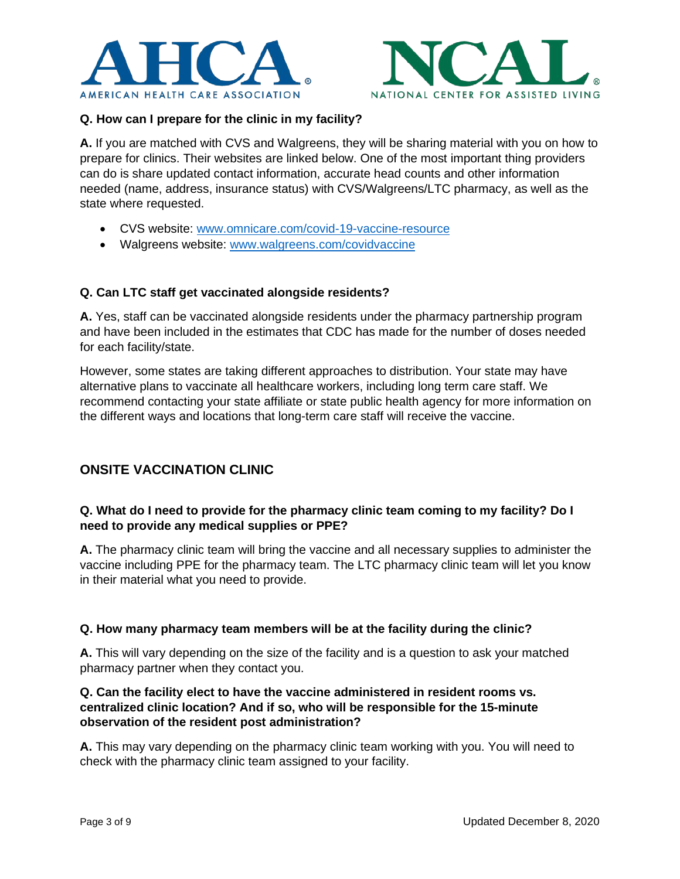



#### **Q. How can I prepare for the clinic in my facility?**

**A.** If you are matched with CVS and Walgreens, they will be sharing material with you on how to prepare for clinics. Their websites are linked below. One of the most important thing providers can do is share updated contact information, accurate head counts and other information needed (name, address, insurance status) with CVS/Walgreens/LTC pharmacy, as well as the state where requested.

- CVS website: [www.omnicare.com/covid-19-vaccine-resource](http://www.omnicare.com/covid-19-vaccine-resource)
- Walgreens website: [www.walgreens.com/covidvaccine](http://www.walgreens.com/covidvaccine)

#### **Q. Can LTC staff get vaccinated alongside residents?**

**A.** Yes, staff can be vaccinated alongside residents under the pharmacy partnership program and have been included in the estimates that CDC has made for the number of doses needed for each facility/state.

However, some states are taking different approaches to distribution. Your state may have alternative plans to vaccinate all healthcare workers, including long term care staff. We recommend contacting your state affiliate or state public health agency for more information on the different ways and locations that long-term care staff will receive the vaccine.

## <span id="page-2-0"></span>**ONSITE VACCINATION CLINIC**

#### **Q. What do I need to provide for the pharmacy clinic team coming to my facility? Do I need to provide any medical supplies or PPE?**

**A.** The pharmacy clinic team will bring the vaccine and all necessary supplies to administer the vaccine including PPE for the pharmacy team. The LTC pharmacy clinic team will let you know in their material what you need to provide.

#### **Q. How many pharmacy team members will be at the facility during the clinic?**

**A.** This will vary depending on the size of the facility and is a question to ask your matched pharmacy partner when they contact you.

#### **Q. Can the facility elect to have the vaccine administered in resident rooms vs. centralized clinic location? And if so, who will be responsible for the 15-minute observation of the resident post administration?**

**A.** This may vary depending on the pharmacy clinic team working with you. You will need to check with the pharmacy clinic team assigned to your facility.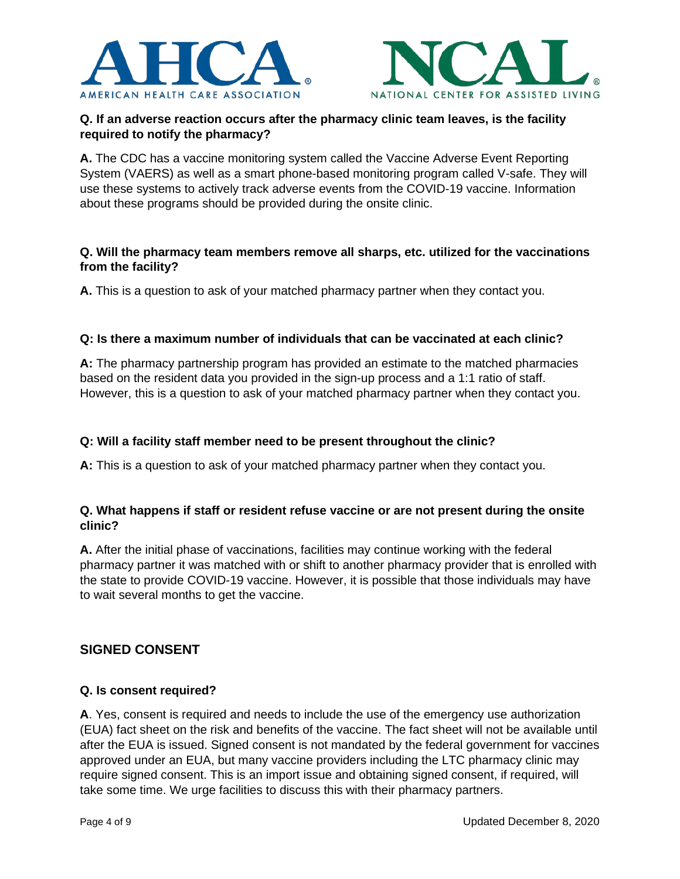



## **Q. If an adverse reaction occurs after the pharmacy clinic team leaves, is the facility required to notify the pharmacy?**

**A.** The CDC has a vaccine monitoring system called the Vaccine Adverse Event Reporting System (VAERS) as well as a smart phone-based monitoring program called V-safe. They will use these systems to actively track adverse events from the COVID-19 vaccine. Information about these programs should be provided during the onsite clinic.

#### **Q. Will the pharmacy team members remove all sharps, etc. utilized for the vaccinations from the facility?**

**A.** This is a question to ask of your matched pharmacy partner when they contact you.

#### **Q: Is there a maximum number of individuals that can be vaccinated at each clinic?**

**A:** The pharmacy partnership program has provided an estimate to the matched pharmacies based on the resident data you provided in the sign-up process and a 1:1 ratio of staff. However, this is a question to ask of your matched pharmacy partner when they contact you.

### **Q: Will a facility staff member need to be present throughout the clinic?**

**A:** This is a question to ask of your matched pharmacy partner when they contact you.

#### **Q. What happens if staff or resident refuse vaccine or are not present during the onsite clinic?**

<span id="page-3-0"></span>**A.** After the initial phase of vaccinations, facilities may continue working with the federal pharmacy partner it was matched with or shift to another pharmacy provider that is enrolled with the state to provide COVID-19 vaccine. However, it is possible that those individuals may have to wait several months to get the vaccine.

## **SIGNED CONSENT**

#### **Q. Is consent required?**

**A**. Yes, consent is required and needs to include the use of the emergency use authorization (EUA) fact sheet on the risk and benefits of the vaccine. The fact sheet will not be available until after the EUA is issued. Signed consent is not mandated by the federal government for vaccines approved under an EUA, but many vaccine providers including the LTC pharmacy clinic may require signed consent. This is an import issue and obtaining signed consent, if required, will take some time. We urge facilities to discuss this with their pharmacy partners.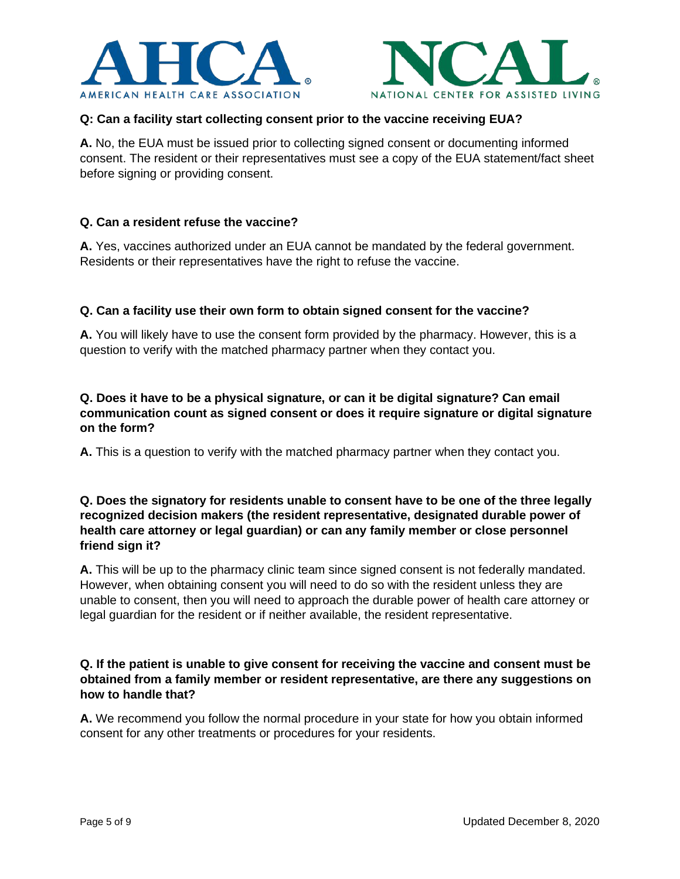



#### **Q: Can a facility start collecting consent prior to the vaccine receiving EUA?**

**A.** No, the EUA must be issued prior to collecting signed consent or documenting informed consent. The resident or their representatives must see a copy of the EUA statement/fact sheet before signing or providing consent.

#### **Q. Can a resident refuse the vaccine?**

**A.** Yes, vaccines authorized under an EUA cannot be mandated by the federal government. Residents or their representatives have the right to refuse the vaccine.

#### **Q. Can a facility use their own form to obtain signed consent for the vaccine?**

**A.** You will likely have to use the consent form provided by the pharmacy. However, this is a question to verify with the matched pharmacy partner when they contact you.

#### **Q. Does it have to be a physical signature, or can it be digital signature? Can email communication count as signed consent or does it require signature or digital signature on the form?**

**A.** This is a question to verify with the matched pharmacy partner when they contact you.

#### **Q. Does the signatory for residents unable to consent have to be one of the three legally recognized decision makers (the resident representative, designated durable power of health care attorney or legal guardian) or can any family member or close personnel friend sign it?**

**A.** This will be up to the pharmacy clinic team since signed consent is not federally mandated. However, when obtaining consent you will need to do so with the resident unless they are unable to consent, then you will need to approach the durable power of health care attorney or legal guardian for the resident or if neither available, the resident representative.

#### **Q. If the patient is unable to give consent for receiving the vaccine and consent must be obtained from a family member or resident representative, are there any suggestions on how to handle that?**

**A.** We recommend you follow the normal procedure in your state for how you obtain informed consent for any other treatments or procedures for your residents.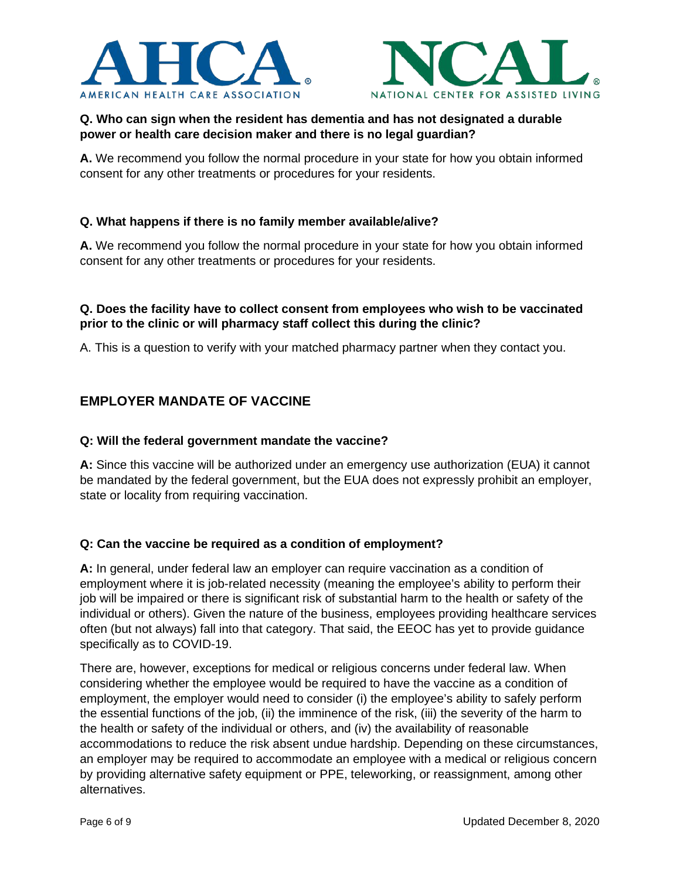



## **Q. Who can sign when the resident has dementia and has not designated a durable power or health care decision maker and there is no legal guardian?**

**A.** We recommend you follow the normal procedure in your state for how you obtain informed consent for any other treatments or procedures for your residents.

#### **Q. What happens if there is no family member available/alive?**

**A.** We recommend you follow the normal procedure in your state for how you obtain informed consent for any other treatments or procedures for your residents.

#### **Q. Does the facility have to collect consent from employees who wish to be vaccinated prior to the clinic or will pharmacy staff collect this during the clinic?**

A. This is a question to verify with your matched pharmacy partner when they contact you.

## <span id="page-5-0"></span>**EMPLOYER MANDATE OF VACCINE**

#### **Q: Will the federal government mandate the vaccine?**

**A:** Since this vaccine will be authorized under an emergency use authorization (EUA) it cannot be mandated by the federal government, but the EUA does not expressly prohibit an employer, state or locality from requiring vaccination.

#### **Q: Can the vaccine be required as a condition of employment?**

**A:** In general, under federal law an employer can require vaccination as a condition of employment where it is job-related necessity (meaning the employee's ability to perform their job will be impaired or there is significant risk of substantial harm to the health or safety of the individual or others). Given the nature of the business, employees providing healthcare services often (but not always) fall into that category. That said, the EEOC has yet to provide guidance specifically as to COVID-19.

There are, however, exceptions for medical or religious concerns under federal law. When considering whether the employee would be required to have the vaccine as a condition of employment, the employer would need to consider (i) the employee's ability to safely perform the essential functions of the job, (ii) the imminence of the risk, (iii) the severity of the harm to the health or safety of the individual or others, and (iv) the availability of reasonable accommodations to reduce the risk absent undue hardship. Depending on these circumstances, an employer may be required to accommodate an employee with a medical or religious concern by providing alternative safety equipment or PPE, teleworking, or reassignment, among other alternatives.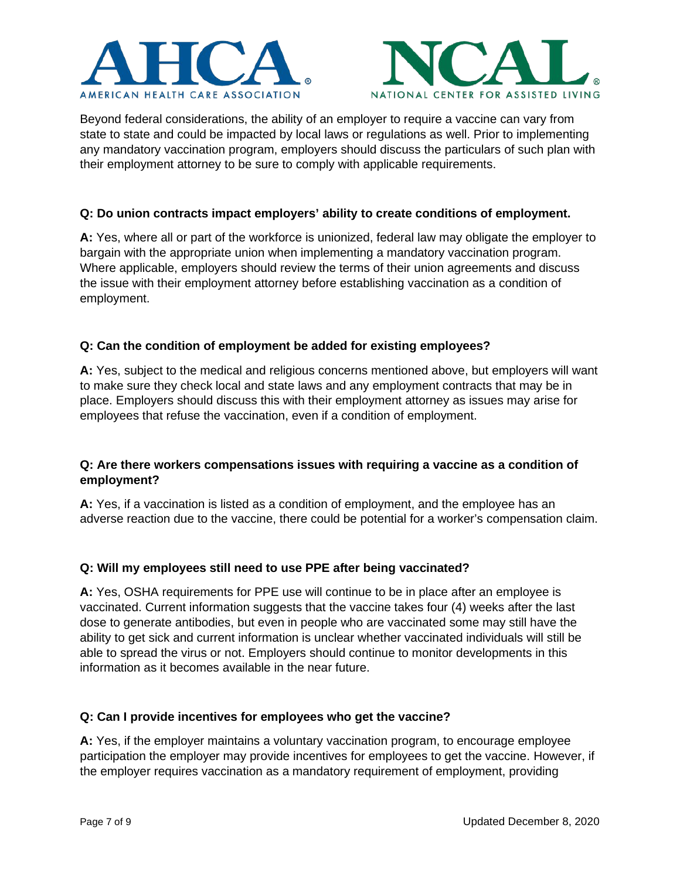



Beyond federal considerations, the ability of an employer to require a vaccine can vary from state to state and could be impacted by local laws or regulations as well. Prior to implementing any mandatory vaccination program, employers should discuss the particulars of such plan with their employment attorney to be sure to comply with applicable requirements.

#### **Q: Do union contracts impact employers' ability to create conditions of employment.**

**A:** Yes, where all or part of the workforce is unionized, federal law may obligate the employer to bargain with the appropriate union when implementing a mandatory vaccination program. Where applicable, employers should review the terms of their union agreements and discuss the issue with their employment attorney before establishing vaccination as a condition of employment.

#### **Q: Can the condition of employment be added for existing employees?**

**A:** Yes, subject to the medical and religious concerns mentioned above, but employers will want to make sure they check local and state laws and any employment contracts that may be in place. Employers should discuss this with their employment attorney as issues may arise for employees that refuse the vaccination, even if a condition of employment.

#### **Q: Are there workers compensations issues with requiring a vaccine as a condition of employment?**

**A:** Yes, if a vaccination is listed as a condition of employment, and the employee has an adverse reaction due to the vaccine, there could be potential for a worker's compensation claim.

#### **Q: Will my employees still need to use PPE after being vaccinated?**

**A:** Yes, OSHA requirements for PPE use will continue to be in place after an employee is vaccinated. Current information suggests that the vaccine takes four (4) weeks after the last dose to generate antibodies, but even in people who are vaccinated some may still have the ability to get sick and current information is unclear whether vaccinated individuals will still be able to spread the virus or not. Employers should continue to monitor developments in this information as it becomes available in the near future.

#### **Q: Can I provide incentives for employees who get the vaccine?**

**A:** Yes, if the employer maintains a voluntary vaccination program, to encourage employee participation the employer may provide incentives for employees to get the vaccine. However, if the employer requires vaccination as a mandatory requirement of employment, providing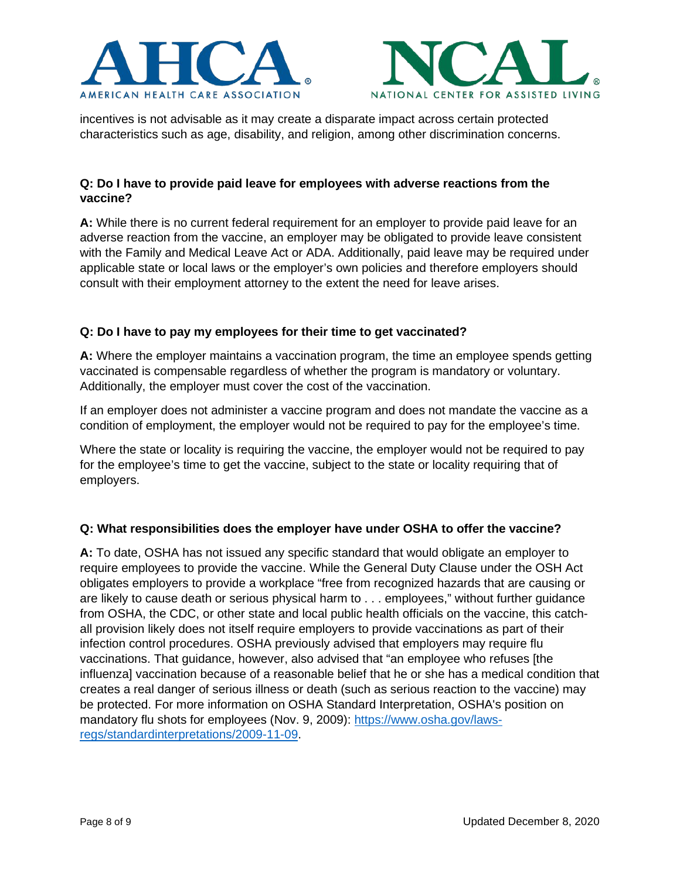



incentives is not advisable as it may create a disparate impact across certain protected characteristics such as age, disability, and religion, among other discrimination concerns.

#### **Q: Do I have to provide paid leave for employees with adverse reactions from the vaccine?**

**A:** While there is no current federal requirement for an employer to provide paid leave for an adverse reaction from the vaccine, an employer may be obligated to provide leave consistent with the Family and Medical Leave Act or ADA. Additionally, paid leave may be required under applicable state or local laws or the employer's own policies and therefore employers should consult with their employment attorney to the extent the need for leave arises.

#### **Q: Do I have to pay my employees for their time to get vaccinated?**

**A:** Where the employer maintains a vaccination program, the time an employee spends getting vaccinated is compensable regardless of whether the program is mandatory or voluntary. Additionally, the employer must cover the cost of the vaccination.

If an employer does not administer a vaccine program and does not mandate the vaccine as a condition of employment, the employer would not be required to pay for the employee's time.

Where the state or locality is requiring the vaccine, the employer would not be required to pay for the employee's time to get the vaccine, subject to the state or locality requiring that of employers.

#### **Q: What responsibilities does the employer have under OSHA to offer the vaccine?**

**A:** To date, OSHA has not issued any specific standard that would obligate an employer to require employees to provide the vaccine. While the General Duty Clause under the OSH Act obligates employers to provide a workplace "free from recognized hazards that are causing or are likely to cause death or serious physical harm to . . . employees," without further guidance from OSHA, the CDC, or other state and local public health officials on the vaccine, this catchall provision likely does not itself require employers to provide vaccinations as part of their infection control procedures. OSHA previously advised that employers may require flu vaccinations. That guidance, however, also advised that "an employee who refuses [the influenza] vaccination because of a reasonable belief that he or she has a medical condition that creates a real danger of serious illness or death (such as serious reaction to the vaccine) may be protected. For more information on OSHA Standard Interpretation, OSHA's position on mandatory flu shots for employees (Nov. 9, 2009): [https://www.osha.gov/laws](https://www.osha.gov/laws-regs/standardinterpretations/2009-11-09)[regs/standardinterpretations/2009-11-09.](https://www.osha.gov/laws-regs/standardinterpretations/2009-11-09)